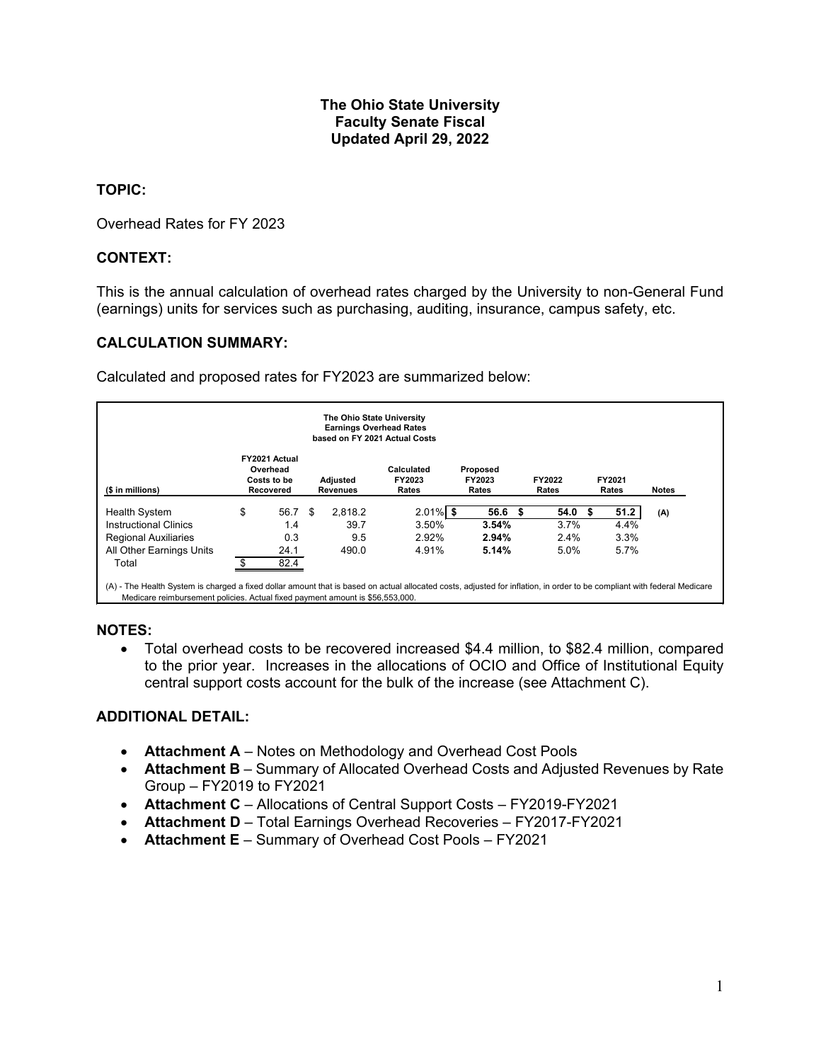#### **The Ohio State University Faculty Senate Fiscal Updated April 29, 2022**

#### **TOPIC:**

Overhead Rates for FY 2023

# **CONTEXT:**

This is the annual calculation of overhead rates charged by the University to non-General Fund (earnings) units for services such as purchasing, auditing, insurance, campus safety, etc.

#### **CALCULATION SUMMARY:**

Calculated and proposed rates for FY2023 are summarized below:

| The Ohio State University<br><b>Earnings Overhead Rates</b><br>based on FY 2021 Actual Costs |    |                                                       |     |                             |                               |                             |                 |                 |              |  |
|----------------------------------------------------------------------------------------------|----|-------------------------------------------------------|-----|-----------------------------|-------------------------------|-----------------------------|-----------------|-----------------|--------------|--|
| (\$ in millions)                                                                             |    | FY2021 Actual<br>Overhead<br>Costs to be<br>Recovered |     | Adjusted<br><b>Revenues</b> | Calculated<br>FY2023<br>Rates | Proposed<br>FY2023<br>Rates | FY2022<br>Rates | FY2021<br>Rates | <b>Notes</b> |  |
| <b>Health System</b>                                                                         | \$ | 56.7                                                  | -\$ | 2.818.2                     | $2.01\%$ \$                   | 56.6                        | 54.0<br>\$.     |                 | 51.2<br>(A)  |  |
| <b>Instructional Clinics</b>                                                                 |    | 1.4                                                   |     | 39.7                        | 3.50%                         | 3.54%                       | 3.7%            |                 | 4.4%         |  |
| <b>Regional Auxiliaries</b>                                                                  |    | 0.3                                                   |     | 9.5                         | 2.92%                         | 2.94%                       | 2.4%            |                 | 3.3%         |  |
| All Other Earnings Units                                                                     |    | 24.1                                                  |     | 490.0                       | 4.91%                         | 5.14%                       | 5.0%            |                 | 5.7%         |  |
| Total                                                                                        |    | 82.4                                                  |     |                             |                               |                             |                 |                 |              |  |

#### **NOTES:**

• Total overhead costs to be recovered increased \$4.4 million, to \$82.4 million, compared to the prior year. Increases in the allocations of OCIO and Office of Institutional Equity central support costs account for the bulk of the increase (see Attachment C).

#### **ADDITIONAL DETAIL:**

- **Attachment A**  Notes on Methodology and Overhead Cost Pools
- **Attachment B**  Summary of Allocated Overhead Costs and Adjusted Revenues by Rate Group – FY2019 to FY2021
- **Attachment C**  Allocations of Central Support Costs FY2019-FY2021
- **Attachment D**  Total Earnings Overhead Recoveries FY2017-FY2021
- **Attachment E**  Summary of Overhead Cost Pools FY2021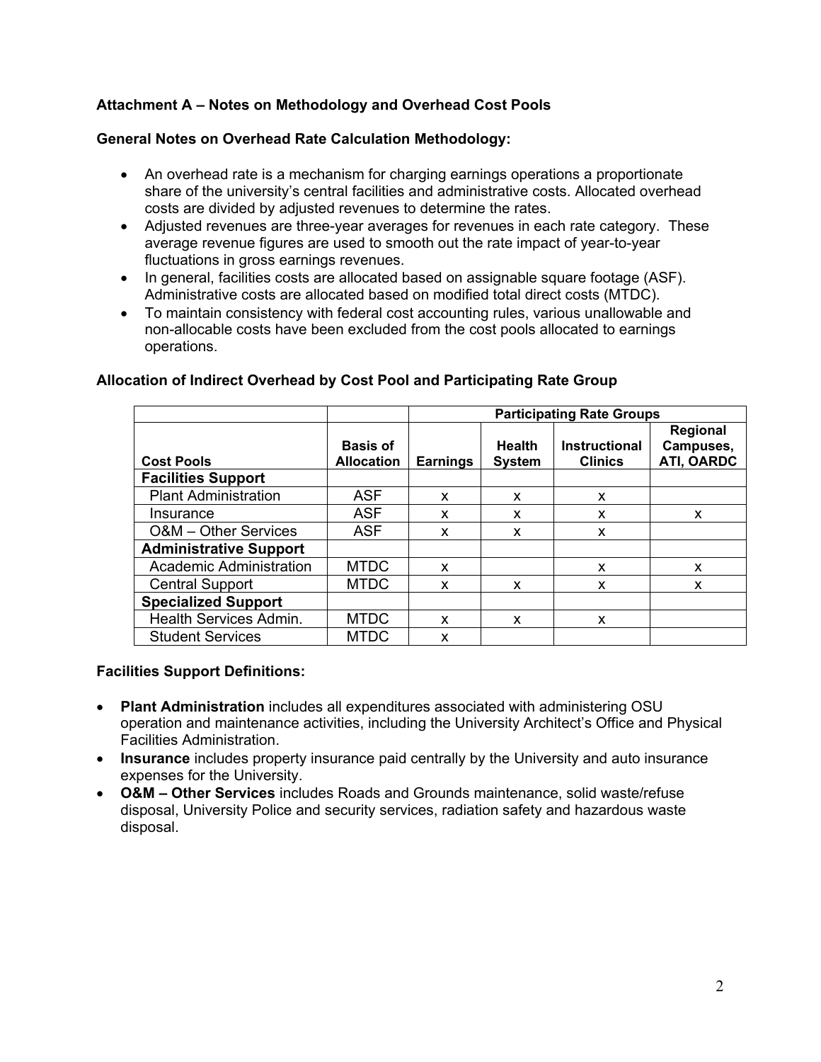# **Attachment A – Notes on Methodology and Overhead Cost Pools**

### **General Notes on Overhead Rate Calculation Methodology:**

- An overhead rate is a mechanism for charging earnings operations a proportionate share of the university's central facilities and administrative costs. Allocated overhead costs are divided by adjusted revenues to determine the rates.
- Adjusted revenues are three-year averages for revenues in each rate category. These average revenue figures are used to smooth out the rate impact of year-to-year fluctuations in gross earnings revenues.
- In general, facilities costs are allocated based on assignable square footage (ASF). Administrative costs are allocated based on modified total direct costs (MTDC).
- To maintain consistency with federal cost accounting rules, various unallowable and non-allocable costs have been excluded from the cost pools allocated to earnings operations.

|                               |                   | <b>Participating Rate Groups</b> |               |                      |                       |  |  |  |  |  |  |
|-------------------------------|-------------------|----------------------------------|---------------|----------------------|-----------------------|--|--|--|--|--|--|
|                               | <b>Basis of</b>   |                                  | <b>Health</b> | <b>Instructional</b> | Regional<br>Campuses, |  |  |  |  |  |  |
| <b>Cost Pools</b>             | <b>Allocation</b> | <b>Earnings</b>                  | <b>System</b> | <b>Clinics</b>       | ATI, OARDC            |  |  |  |  |  |  |
| <b>Facilities Support</b>     |                   |                                  |               |                      |                       |  |  |  |  |  |  |
| <b>Plant Administration</b>   | <b>ASF</b>        | X                                | x             | x                    |                       |  |  |  |  |  |  |
| Insurance                     | <b>ASF</b>        | x                                | x             | x                    | X                     |  |  |  |  |  |  |
| O&M - Other Services          | <b>ASF</b>        | X                                | x             | X                    |                       |  |  |  |  |  |  |
| <b>Administrative Support</b> |                   |                                  |               |                      |                       |  |  |  |  |  |  |
| Academic Administration       | <b>MTDC</b>       | x                                |               | x                    | x                     |  |  |  |  |  |  |
| <b>Central Support</b>        | <b>MTDC</b>       | x                                | x             | x                    | x                     |  |  |  |  |  |  |
| <b>Specialized Support</b>    |                   |                                  |               |                      |                       |  |  |  |  |  |  |
| Health Services Admin.        | <b>MTDC</b>       | x                                | x             | x                    |                       |  |  |  |  |  |  |
| <b>Student Services</b>       | <b>MTDC</b>       | x                                |               |                      |                       |  |  |  |  |  |  |

#### **Allocation of Indirect Overhead by Cost Pool and Participating Rate Group**

#### **Facilities Support Definitions:**

- **Plant Administration** includes all expenditures associated with administering OSU operation and maintenance activities, including the University Architect's Office and Physical Facilities Administration.
- **Insurance** includes property insurance paid centrally by the University and auto insurance expenses for the University.
- **O&M – Other Services** includes Roads and Grounds maintenance, solid waste/refuse disposal, University Police and security services, radiation safety and hazardous waste disposal.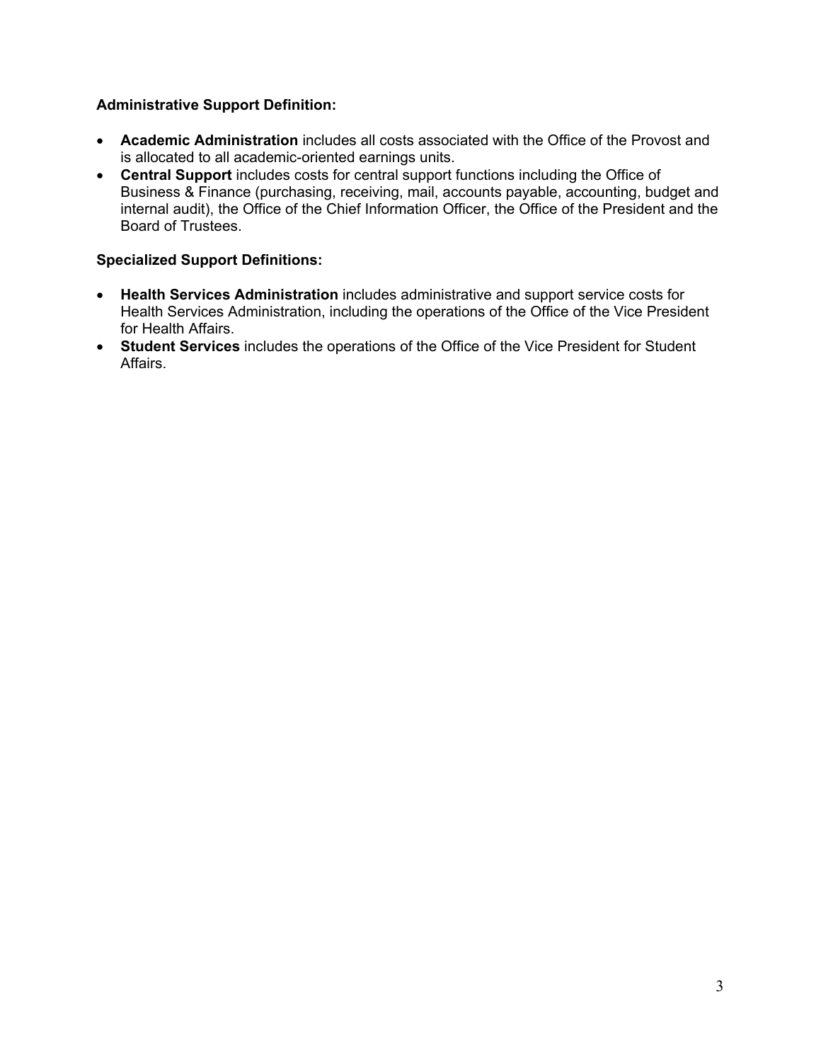# **Administrative Support Definition:**

- **Academic Administration** includes all costs associated with the Office of the Provost and is allocated to all academic-oriented earnings units.
- **Central Support** includes costs for central support functions including the Office of Business & Finance (purchasing, receiving, mail, accounts payable, accounting, budget and internal audit), the Office of the Chief Information Officer, the Office of the President and the Board of Trustees.

# **Specialized Support Definitions:**

- **Health Services Administration** includes administrative and support service costs for Health Services Administration, including the operations of the Office of the Vice President for Health Affairs.
- **Student Services** includes the operations of the Office of the Vice President for Student Affairs.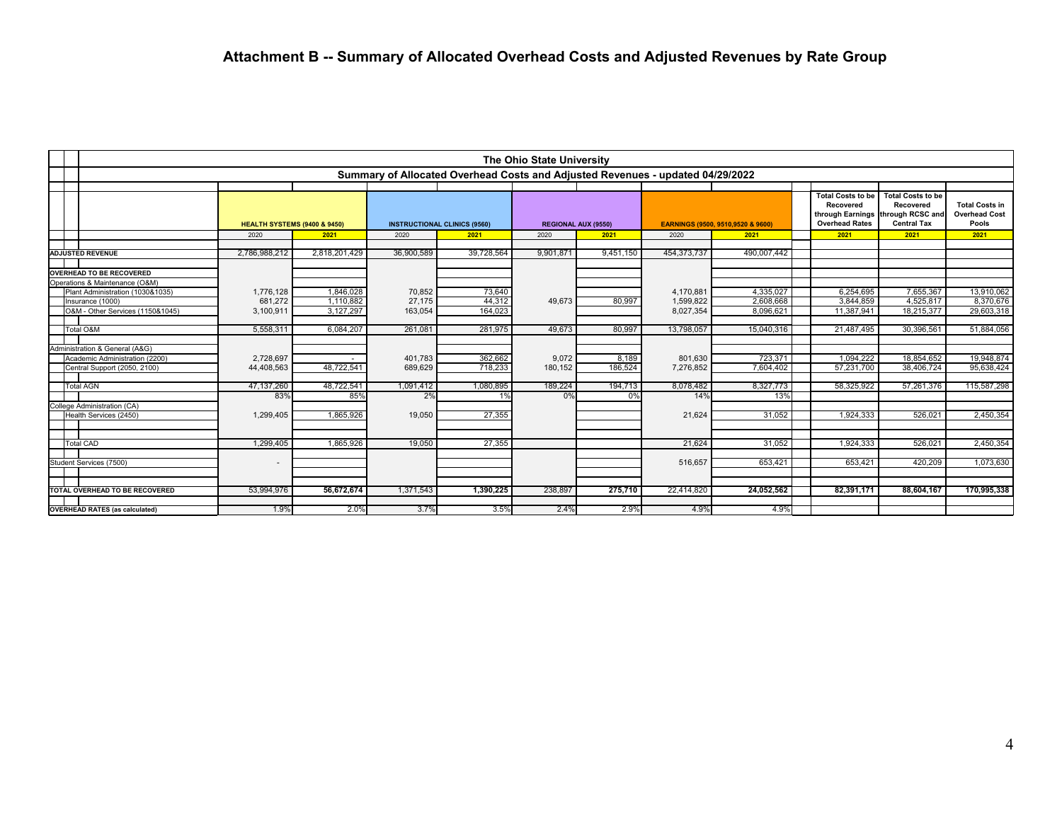| The Ohio State University                                         |                                         |                   |                 |                                                                                |                     |               |                  |                                   |                                                                                    |                                                                                 |                                                        |
|-------------------------------------------------------------------|-----------------------------------------|-------------------|-----------------|--------------------------------------------------------------------------------|---------------------|---------------|------------------|-----------------------------------|------------------------------------------------------------------------------------|---------------------------------------------------------------------------------|--------------------------------------------------------|
|                                                                   |                                         |                   |                 | Summary of Allocated Overhead Costs and Adjusted Revenues - updated 04/29/2022 |                     |               |                  |                                   |                                                                                    |                                                                                 |                                                        |
|                                                                   |                                         |                   |                 |                                                                                |                     |               |                  |                                   |                                                                                    |                                                                                 |                                                        |
|                                                                   | <b>HEALTH SYSTEMS (9400 &amp; 9450)</b> |                   |                 | <b>INSTRUCTIONAL CLINICS (9560)</b>                                            | REGIONAL AUX (9550) |               |                  | EARNINGS (9500, 9510.9520 & 9600) | <b>Total Costs to be</b><br>Recovered<br>through Earnings<br><b>Overhead Rates</b> | <b>Total Costs to be</b><br>Recovered<br>through RCSC and<br><b>Central Tax</b> | <b>Total Costs in</b><br><b>Overhead Cost</b><br>Pools |
|                                                                   | 2020                                    | 2021              | 2020            | 2021                                                                           | 2020                | 2021          | 2020             | 2021                              | 2021                                                                               | 2021                                                                            | 2021                                                   |
| <b>ADJUSTED REVENUE</b>                                           | 2,786,988,212                           | 2,818,201,429     | 36,900,589      | 39,728,564                                                                     | 9,901,871           | 9,451,150     | 454, 373, 737    | 490,007,442                       |                                                                                    |                                                                                 |                                                        |
|                                                                   |                                         |                   |                 |                                                                                |                     |               |                  |                                   |                                                                                    |                                                                                 |                                                        |
| <b>OVERHEAD TO BE RECOVERED</b><br>Operations & Maintenance (O&M) |                                         |                   |                 |                                                                                |                     |               |                  |                                   |                                                                                    |                                                                                 |                                                        |
| Plant Administration (1030&1035)                                  | 1,776,128                               | 1,846,028         | 70,852          | 73,640                                                                         |                     |               | 4,170,881        | 4,335,027                         | 6,254,695                                                                          | 7,655,367                                                                       | 13,910,062                                             |
| Insurance (1000)                                                  | 681,272                                 | 1,110,882         | 27,175          | 44,312                                                                         | 49.673              | 80,997        | 1,599,822        | 2,608,668                         | 3.844.859                                                                          | 4.525.817                                                                       | 8,370,676                                              |
| O&M - Other Services (1150&1045)                                  | 3,100,911                               | 3,127,297         | 163,054         | 164,023                                                                        |                     |               | 8,027,354        | 8,096,621                         | 11,387,941                                                                         | 18,215,377                                                                      | 29,603,318                                             |
|                                                                   |                                         |                   |                 |                                                                                | 49.673              |               |                  |                                   | 21.487.495                                                                         |                                                                                 |                                                        |
| Total O&M                                                         | 5,558,311                               | 6,084,207         | 261,081         | 281,975                                                                        |                     | 80,997        | 13,798,057       | 15,040,316                        |                                                                                    | 30,396,561                                                                      | 51,884,056                                             |
| Administration & General (A&G)                                    |                                         |                   |                 |                                                                                |                     |               |                  |                                   |                                                                                    |                                                                                 |                                                        |
| Academic Administration (2200)                                    | 2,728,697                               |                   | 401,783         | 362,662                                                                        | 9.072               | 8,189         | 801,630          | 723.371                           | 1.094.222                                                                          | 18.854.652                                                                      | 19,948,874                                             |
| Central Support (2050, 2100)                                      | 44,408,563                              | 48,722,541        | 689,629         | 718,233                                                                        | 180,152             | 186,524       | 7,276,852        | 7,604,402                         | 57,231,700                                                                         | 38,406,724                                                                      | 95,638,424                                             |
|                                                                   |                                         |                   |                 |                                                                                |                     |               |                  |                                   |                                                                                    |                                                                                 |                                                        |
| <b>Total AGN</b>                                                  | 47,137,260<br>83%                       | 48,722,541<br>85% | 1,091,412<br>2% | 1,080,895<br>1%                                                                | 189,224<br>0%       | 194,713<br>0% | 8,078,482<br>14% | 8,327,773<br>13%                  | 58,325,922                                                                         | 57,261,376                                                                      | 115,587,298                                            |
| College Administration (CA)                                       |                                         |                   |                 |                                                                                |                     |               |                  |                                   |                                                                                    |                                                                                 |                                                        |
| Health Services (2450)                                            | 1,299,405                               | 1,865,926         | 19,050          | 27,355                                                                         |                     |               | 21,624           | 31,052                            | 1,924,333                                                                          | 526,021                                                                         | 2,450,354                                              |
|                                                                   |                                         |                   |                 |                                                                                |                     |               |                  |                                   |                                                                                    |                                                                                 |                                                        |
|                                                                   |                                         |                   |                 |                                                                                |                     |               |                  |                                   |                                                                                    |                                                                                 |                                                        |
| <b>Total CAD</b>                                                  | 1,299,405                               | 1,865,926         | 19,050          | 27,355                                                                         |                     |               | 21.624           | 31.052                            | 1,924,333                                                                          | 526.021                                                                         | 2,450,354                                              |
| Student Services (7500)                                           | $\overline{\phantom{a}}$                |                   |                 |                                                                                |                     |               | 516,657          | 653,421                           | 653,421                                                                            | 420,209                                                                         | 1,073,630                                              |
|                                                                   |                                         |                   |                 |                                                                                |                     |               |                  |                                   |                                                                                    |                                                                                 |                                                        |
|                                                                   |                                         |                   |                 |                                                                                |                     |               |                  |                                   |                                                                                    |                                                                                 |                                                        |
| TOTAL OVERHEAD TO BE RECOVERED                                    | 53,994,976                              | 56,672,674        | 1,371,543       | 1,390,225                                                                      | 238,897             | 275,710       | 22,414,820       | 24,052,562                        | 82,391,171                                                                         | 88,604,167                                                                      | 170,995,338                                            |
| <b>OVERHEAD RATES (as calculated)</b>                             | 1.9%                                    | 2.0%              | 3.7%            | 3.5%                                                                           | 2.4%                | 2.9%          | 4.9%             | 4.9%                              |                                                                                    |                                                                                 |                                                        |
|                                                                   |                                         |                   |                 |                                                                                |                     |               |                  |                                   |                                                                                    |                                                                                 |                                                        |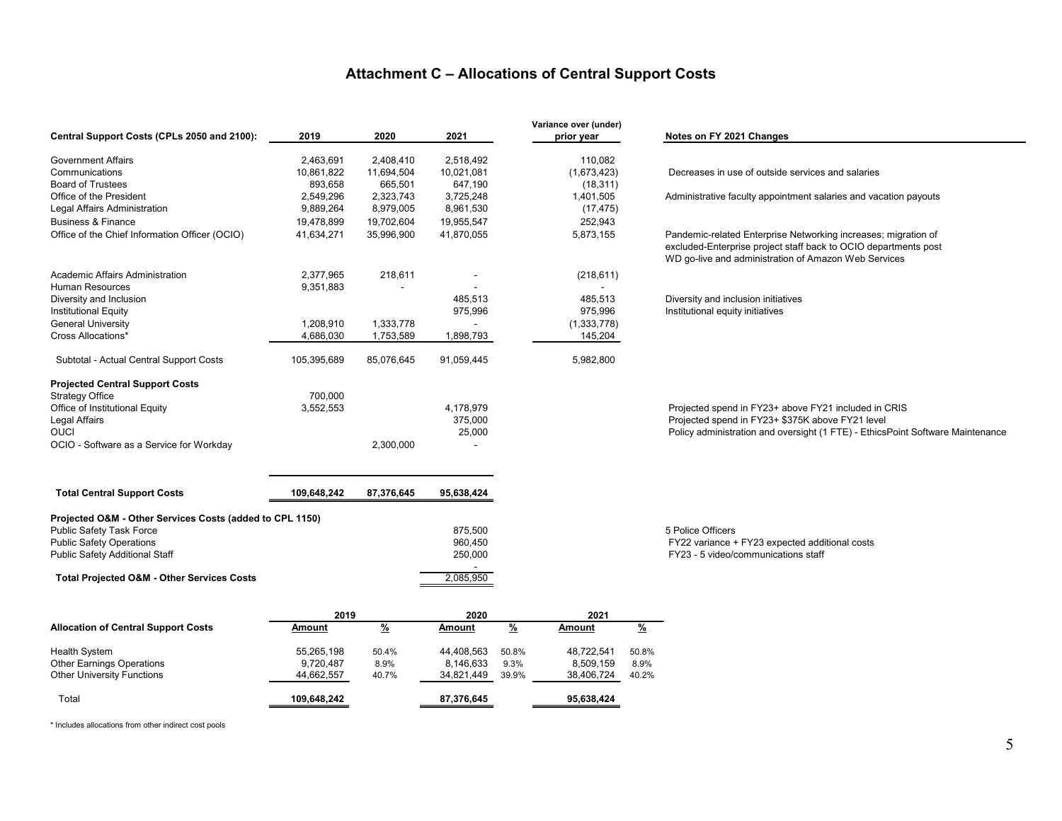# **Attachment C – Allocations of Central Support Costs**

|                                                          |             |               |                                     | Variance over (under)          |            |                                                                                                                         |
|----------------------------------------------------------|-------------|---------------|-------------------------------------|--------------------------------|------------|-------------------------------------------------------------------------------------------------------------------------|
| Central Support Costs (CPLs 2050 and 2100):              | 2019        | 2020          | 2021                                | prior year                     |            | Notes on FY 2021 Changes                                                                                                |
| <b>Government Affairs</b>                                | 2,463,691   | 2,408,410     | 2,518,492                           |                                | 110,082    |                                                                                                                         |
| Communications                                           | 10,861,822  | 11,694,504    | 10,021,081                          | (1,673,423)                    |            | Decreases in use of outside services and salaries                                                                       |
| <b>Board of Trustees</b>                                 | 893,658     | 665,501       | 647,190                             |                                | (18, 311)  |                                                                                                                         |
| Office of the President                                  | 2,549,296   | 2,323,743     | 3,725,248                           | 1,401,505                      |            | Administrative faculty appointment salaries and vacation payouts                                                        |
| Legal Affairs Administration                             | 9,889,264   | 8,979,005     | 8,961,530                           |                                | (17, 475)  |                                                                                                                         |
| <b>Business &amp; Finance</b>                            | 19,478,899  | 19,702,604    | 19,955,547                          |                                | 252,943    |                                                                                                                         |
| Office of the Chief Information Officer (OCIO)           | 41,634,271  | 35,996,900    | 41,870,055                          | 5,873,155                      |            | Pandemic-related Enterprise Networking increases; migration of                                                          |
|                                                          |             |               |                                     |                                |            | excluded-Enterprise project staff back to OCIO departments post<br>WD go-live and administration of Amazon Web Services |
| Academic Affairs Administration                          | 2,377,965   | 218,611       |                                     |                                | (218, 611) |                                                                                                                         |
| <b>Human Resources</b>                                   | 9,351,883   |               |                                     |                                |            |                                                                                                                         |
| Diversity and Inclusion                                  |             |               | 485,513                             |                                | 485,513    | Diversity and inclusion initiatives                                                                                     |
| <b>Institutional Equity</b>                              |             |               | 975,996                             |                                | 975,996    | Institutional equity initiatives                                                                                        |
| <b>General University</b>                                | 1,208,910   | 1,333,778     |                                     | (1,333,778)                    |            |                                                                                                                         |
| Cross Allocations*                                       | 4,686,030   | 1,753,589     | 1,898,793                           |                                | 145,204    |                                                                                                                         |
|                                                          |             |               |                                     |                                |            |                                                                                                                         |
| Subtotal - Actual Central Support Costs                  | 105,395,689 | 85,076,645    | 91,059,445                          | 5,982,800                      |            |                                                                                                                         |
| <b>Projected Central Support Costs</b>                   |             |               |                                     |                                |            |                                                                                                                         |
| <b>Strategy Office</b>                                   | 700,000     |               |                                     |                                |            |                                                                                                                         |
| Office of Institutional Equity                           | 3,552,553   |               | 4.178.979                           |                                |            | Projected spend in FY23+ above FY21 included in CRIS                                                                    |
| <b>Legal Affairs</b>                                     |             |               | 375,000                             |                                |            | Projected spend in FY23+ \$375K above FY21 level                                                                        |
| <b>OUCI</b>                                              |             |               | 25,000                              |                                |            | Policy administration and oversight (1 FTE) - EthicsPoint Software Maintenance                                          |
| OCIO - Software as a Service for Workday                 |             | 2,300,000     |                                     |                                |            |                                                                                                                         |
| <b>Total Central Support Costs</b>                       | 109,648,242 | 87,376,645    | 95,638,424                          |                                |            |                                                                                                                         |
|                                                          |             |               |                                     |                                |            |                                                                                                                         |
| Projected O&M - Other Services Costs (added to CPL 1150) |             |               |                                     |                                |            |                                                                                                                         |
| <b>Public Safety Task Force</b>                          |             |               | 875,500                             |                                |            | 5 Police Officers                                                                                                       |
| <b>Public Safety Operations</b>                          |             |               | 960,450                             |                                |            | FY22 variance + FY23 expected additional costs                                                                          |
| <b>Public Safety Additional Staff</b>                    |             |               | 250,000<br>$\overline{\phantom{a}}$ |                                |            | FY23 - 5 video/communications staff                                                                                     |
| <b>Total Projected O&amp;M - Other Services Costs</b>    |             |               | 2,085,950                           |                                |            |                                                                                                                         |
|                                                          |             |               |                                     |                                |            |                                                                                                                         |
|                                                          | 2019        |               | 2020                                |                                | 2021       |                                                                                                                         |
| <b>Allocation of Central Support Costs</b>               | Amount      | $\frac{9}{6}$ | <b>Amount</b>                       | $\frac{9}{6}$<br><b>Amount</b> | <u>%</u>   |                                                                                                                         |
| <b>Health System</b>                                     | 55,265,198  | 50.4%         | 44,408,563                          | 48,722,541<br>50.8%            | 50.8%      |                                                                                                                         |
| <b>Other Earnings Operations</b>                         | 9,720,487   | 8.9%          | 8,146,633                           | 9.3%<br>8,509,159              | 8.9%       |                                                                                                                         |
| <b>Other University Functions</b>                        | 44,662,557  | 40.7%         | 34,821,449                          | 39.9%<br>38,406,724            | 40.2%      |                                                                                                                         |

\* Includes allocations from other indirect cost pools

Total **109,648,242 87,376,645 95,638,424**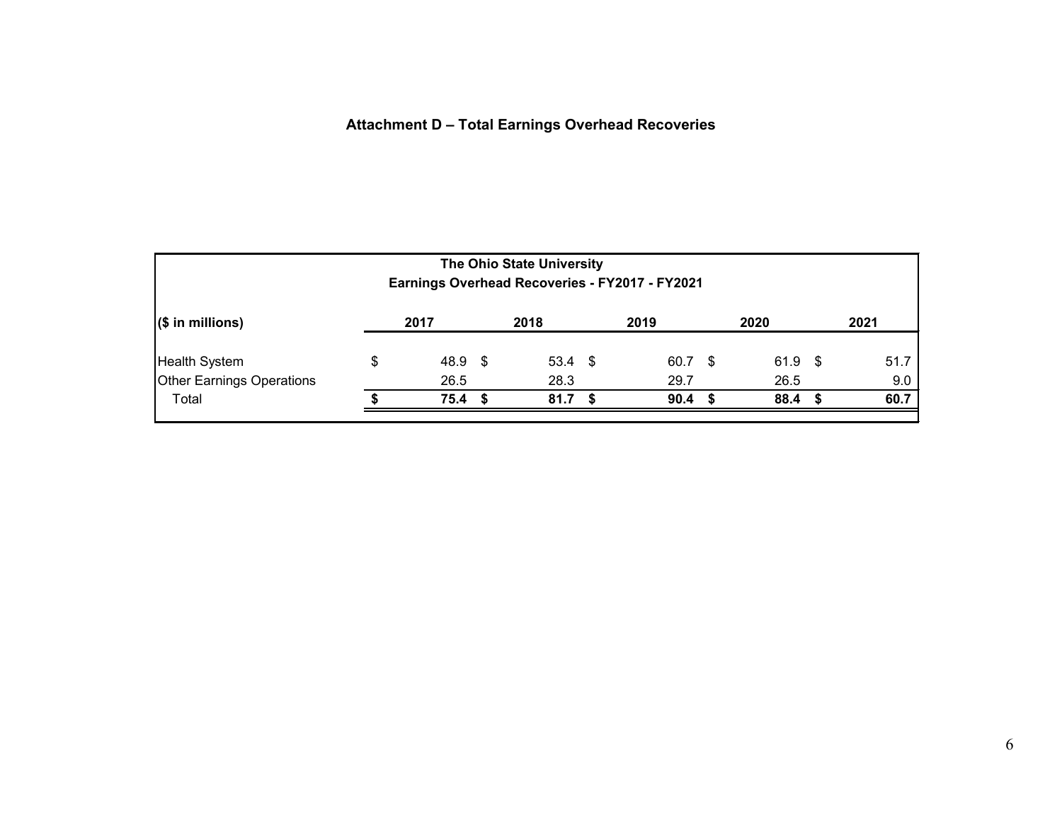# **Attachment D – Total Earnings Overhead Recoveries**

| The Ohio State University<br>Earnings Overhead Recoveries - FY2017 - FY2021 |    |                   |  |                   |      |      |      |           |      |      |
|-----------------------------------------------------------------------------|----|-------------------|--|-------------------|------|------|------|-----------|------|------|
| $($ \$ in millions)                                                         |    | 2017              |  | 2018              |      | 2019 |      | 2020      |      | 2021 |
| Health System                                                               | \$ | $48.9$ \$         |  | $53.4 \text{ } $$ |      | 60.7 | - \$ | $61.9$ \$ |      | 51.7 |
| Other Earnings Operations                                                   |    | 26.5              |  | 28.3              |      | 29.7 |      | 26.5      |      | 9.0  |
| Total                                                                       |    | 75.4 <sup>5</sup> |  | 81.7              | - \$ | 90.4 | - 5  | 88.4      | - 55 | 60.7 |